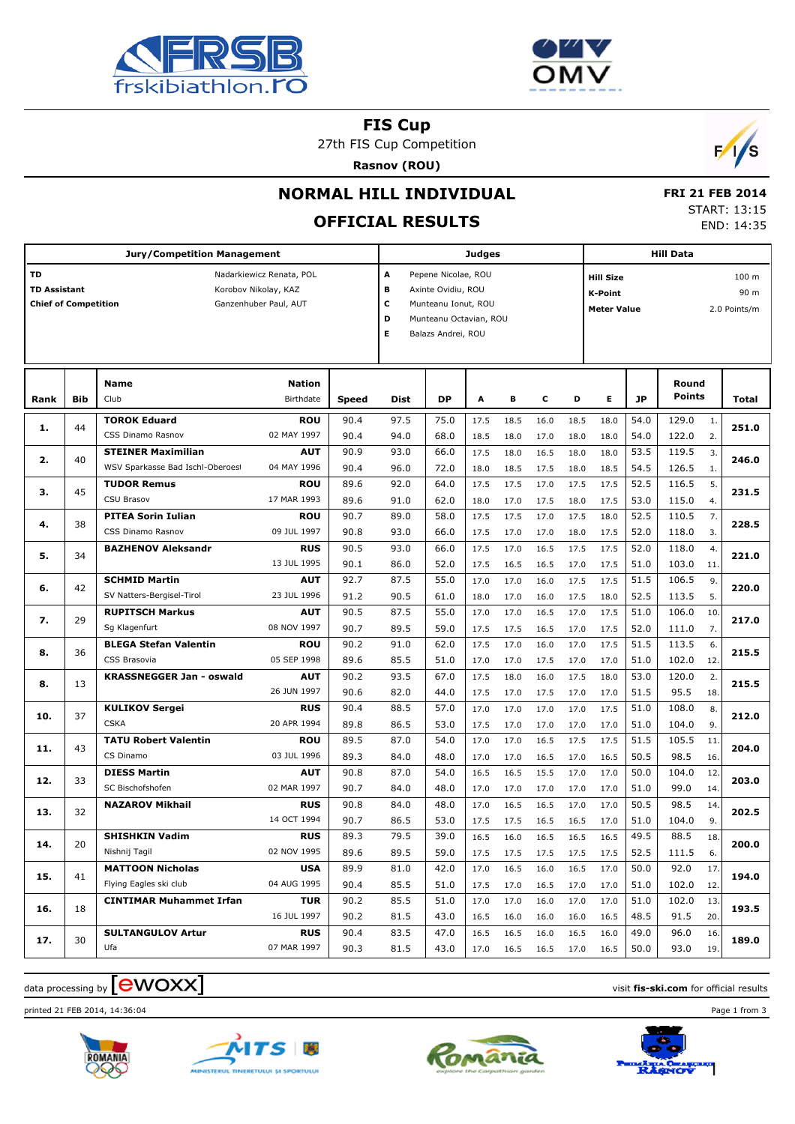



**FIS Cup**

27th FIS Cup Competition

**Rasnov (ROU)**



## **NORMAL HILL INDIVIDUAL**

# **OFFICIAL RESULTS**

 **FRI 21 FEB 2014** START: 13:15 END: 14:35

| <b>Jury/Competition Management</b>                                                                                                    |            |                                                          |                           |              |                                                                                                                                           | <b>Judges</b> |              |              |              |              |                                                          | <b>Hill Data</b> |                               |       |  |  |
|---------------------------------------------------------------------------------------------------------------------------------------|------------|----------------------------------------------------------|---------------------------|--------------|-------------------------------------------------------------------------------------------------------------------------------------------|---------------|--------------|--------------|--------------|--------------|----------------------------------------------------------|------------------|-------------------------------|-------|--|--|
| TD<br>Nadarkiewicz Renata, POL<br><b>TD Assistant</b><br>Korobov Nikolay, KAZ<br><b>Chief of Competition</b><br>Ganzenhuber Paul, AUT |            |                                                          |                           |              | A<br>Pepene Nicolae, ROU<br>в<br>Axinte Ovidiu, ROU<br>c<br>Munteanu Ionut, ROU<br>D<br>Munteanu Octavian, ROU<br>Е<br>Balazs Andrei, ROU |               |              |              |              |              | <b>Hill Size</b><br><b>K-Point</b><br><b>Meter Value</b> |                  | 100 m<br>90 m<br>2.0 Points/m |       |  |  |
| Rank                                                                                                                                  | <b>Bib</b> | <b>Name</b><br>Club                                      | Nation<br>Birthdate       | <b>Speed</b> | <b>Dist</b>                                                                                                                               | <b>DP</b>     | A            | в            | c            | D            | Е                                                        | <b>JP</b>        | Round<br><b>Points</b>        | Total |  |  |
| 1.                                                                                                                                    | 44         | <b>TOROK Eduard</b><br>CSS Dinamo Rasnov                 | <b>ROU</b><br>02 MAY 1997 | 90.4         | 97.5                                                                                                                                      | 75.0          | 17.5         | 18.5         | 16.0         | 18.5         | 18.0                                                     | 54.0             | 129.0<br>$\mathbf{1}$ .       | 251.0 |  |  |
| 2.                                                                                                                                    | 40         | <b>STEINER Maximilian</b>                                | <b>AUT</b>                | 90.4<br>90.9 | 94.0<br>93.0                                                                                                                              | 68.0<br>66.0  | 18.5<br>17.5 | 18.0<br>18.0 | 17.0<br>16.5 | 18.0<br>18.0 | 18.0<br>18.0                                             | 54.0<br>53.5     | 122.0<br>2.<br>119.5<br>3.    | 246.0 |  |  |
|                                                                                                                                       |            | WSV Sparkasse Bad Ischl-Oberoest                         | 04 MAY 1996               | 90.4         | 96.0                                                                                                                                      | 72.0          | 18.0         | 18.5         | 17.5         | 18.0         | 18.5                                                     | 54.5             | 126.5<br>1.                   |       |  |  |
| з.                                                                                                                                    | 45         | <b>TUDOR Remus</b><br>CSU Brasov                         | ROU<br>17 MAR 1993        | 89.6<br>89.6 | 92.0<br>91.0                                                                                                                              | 64.0<br>62.0  | 17.5<br>18.0 | 17.5<br>17.0 | 17.0<br>17.5 | 17.5<br>18.0 | 17.5<br>17.5                                             | 52.5<br>53.0     | 116.5<br>5.<br>115.0<br>4.    | 231.5 |  |  |
| 4.                                                                                                                                    | 38         | <b>PITEA Sorin Iulian</b><br>CSS Dinamo Rasnov           | <b>ROU</b><br>09 JUL 1997 | 90.7<br>90.8 | 89.0<br>93.0                                                                                                                              | 58.0<br>66.0  | 17.5<br>17.5 | 17.5<br>17.0 | 17.0<br>17.0 | 17.5<br>18.0 | 18.0<br>17.5                                             | 52.5<br>52.0     | 110.5<br>7.<br>118.0<br>3.    | 228.5 |  |  |
| 5.                                                                                                                                    | 34         | <b>BAZHENOV Aleksandr</b>                                | <b>RUS</b><br>13 JUL 1995 | 90.5<br>90.1 | 93.0<br>86.0                                                                                                                              | 66.0<br>52.0  | 17.5<br>17.5 | 17.0<br>16.5 | 16.5<br>16.5 | 17.5<br>17.0 | 17.5<br>17.5                                             | 52.0<br>51.0     | 118.0<br>4.<br>103.0<br>11.   | 221.0 |  |  |
| 6.                                                                                                                                    | 42         | <b>SCHMID Martin</b><br>SV Natters-Bergisel-Tirol        | <b>AUT</b><br>23 JUL 1996 | 92.7         | 87.5                                                                                                                                      | 55.0          | 17.0         | 17.0         | 16.0         | 17.5         | 17.5                                                     | 51.5<br>52.5     | 106.5<br>9.<br>113.5          | 220.0 |  |  |
| 7.                                                                                                                                    | 29         | <b>RUPITSCH Markus</b>                                   | <b>AUT</b>                | 91.2<br>90.5 | 90.5<br>87.5                                                                                                                              | 61.0<br>55.0  | 18.0<br>17.0 | 17.0<br>17.0 | 16.0<br>16.5 | 17.5<br>17.0 | 18.0<br>17.5                                             | 51.0             | 5.<br>106.0<br>10.            | 217.0 |  |  |
|                                                                                                                                       |            | Sg Klagenfurt                                            | 08 NOV 1997               | 90.7         | 89.5                                                                                                                                      | 59.0          | 17.5         | 17.5         | 16.5         | 17.0         | 17.5                                                     | 52.0             | 111.0<br>7.                   |       |  |  |
| 8.                                                                                                                                    | 36         | <b>BLEGA Stefan Valentin</b><br>CSS Brasovia             | ROU<br>05 SEP 1998        | 90.2<br>89.6 | 91.0<br>85.5                                                                                                                              | 62.0<br>51.0  | 17.5<br>17.0 | 17.0<br>17.0 | 16.0<br>17.5 | 17.0<br>17.0 | 17.5<br>17.0                                             | 51.5<br>51.0     | 113.5<br>6.<br>102.0<br>12.   | 215.5 |  |  |
| 8.                                                                                                                                    | 13         | <b>KRASSNEGGER Jan - oswald</b>                          | <b>AUT</b><br>26 JUN 1997 | 90.2<br>90.6 | 93.5<br>82.0                                                                                                                              | 67.0<br>44.0  | 17.5<br>17.5 | 18.0<br>17.0 | 16.0<br>17.5 | 17.5<br>17.0 | 18.0<br>17.0                                             | 53.0<br>51.5     | 120.0<br>2.<br>95.5<br>18.    | 215.5 |  |  |
|                                                                                                                                       | 37         | <b>KULIKOV Sergei</b>                                    | <b>RUS</b>                | 90.4         | 88.5                                                                                                                                      | 57.0          | 17.0         | 17.0         | 17.0         | 17.0         | 17.5                                                     | 51.0             | 108.0<br>8.                   | 212.0 |  |  |
| 10.                                                                                                                                   |            | <b>CSKA</b>                                              | 20 APR 1994               | 89.8         | 86.5                                                                                                                                      | 53.0          | 17.5         | 17.0         | 17.0         | 17.0         | 17.0                                                     | 51.0             | 104.0<br>9.                   |       |  |  |
| 11.                                                                                                                                   | 43         | <b>TATU Robert Valentin</b><br>CS Dinamo                 | <b>ROU</b><br>03 JUL 1996 | 89.5<br>89.3 | 87.0<br>84.0                                                                                                                              | 54.0<br>48.0  | 17.0<br>17.0 | 17.0<br>17.0 | 16.5<br>16.5 | 17.5<br>17.0 | 17.5<br>16.5                                             | 51.5<br>50.5     | 105.5<br>11.<br>98.5<br>16.   | 204.0 |  |  |
| 12.                                                                                                                                   | 33         | <b>DIESS Martin</b><br>SC Bischofshofen                  | <b>AUT</b><br>02 MAR 1997 | 90.8<br>90.7 | 87.0<br>84.0                                                                                                                              | 54.0<br>48.0  | 16.5<br>17.0 | 16.5<br>17.0 | 15.5<br>17.0 | 17.0<br>17.0 | 17.0<br>17.0                                             | 50.0<br>51.0     | 104.0<br>12.<br>99.0<br>14.   | 203.0 |  |  |
| 13.                                                                                                                                   | 32         | <b>NAZAROV Mikhail</b>                                   | <b>RUS</b><br>14 OCT 1994 | 90.8<br>90.7 | 84.0<br>86.5                                                                                                                              | 48.0          | 17.0         | 16.5         | 16.5         | 17.0         | 17.0                                                     | 50.5<br>51.0     | 98.5<br>14.<br>104.0          | 202.5 |  |  |
|                                                                                                                                       |            | <b>SHISHKIN Vadim</b>                                    | <b>RUS</b>                | 89.3         | 79.5                                                                                                                                      | 53.0<br>39.0  | 17.5<br>16.5 | 17.5<br>16.0 | 16.5<br>16.5 | 16.5<br>16.5 | 17.0<br>16.5                                             | 49.5             | 9.<br>88.5<br>18.             |       |  |  |
| 14.                                                                                                                                   | 20         | Nishnij Tagil                                            | 02 NOV 1995               | 89.6         | 89.5                                                                                                                                      | 59.0          | 17.5         | 17.5         | 17.5         | 17.5         | 17.5                                                     | 52.5             | 111.5<br>6.                   | 200.0 |  |  |
| 15.                                                                                                                                   | 41         | <b>MATTOON Nicholas</b>                                  | <b>USA</b><br>04 AUG 1995 | 89.9         | 81.0                                                                                                                                      | 42.0          | 17.0         | 16.5         | 16.0         | 16.5         | 17.0                                                     | 50.0             | 92.0<br>17.                   | 194.0 |  |  |
|                                                                                                                                       |            | Flying Eagles ski club<br><b>CINTIMAR Muhammet Irfan</b> | TUR                       | 90.4<br>90.2 | 85.5<br>85.5                                                                                                                              | 51.0<br>51.0  | 17.5<br>17.0 | 17.0<br>17.0 | 16.5<br>16.0 | 17.0<br>17.0 | 17.0<br>17.0                                             | 51.0<br>51.0     | 102.0<br>12.<br>102.0<br>13.  |       |  |  |
| 16.                                                                                                                                   | 18         |                                                          | 16 JUL 1997               | 90.2         |                                                                                                                                           | 43.0          | 16.5         | 16.0         | 16.0         | 16.0         | 16.5                                                     | 48.5             | 91.5<br>20.                   | 193.5 |  |  |
| 17.                                                                                                                                   | 30         | <b>SULTANGULOV Artur</b><br>Ufa                          | <b>RUS</b><br>07 MAR 1997 | 90.4<br>90.3 | 83.5<br>81.5                                                                                                                              | 47.0<br>43.0  | 16.5<br>17.0 | 16.5<br>16.5 | 16.0<br>16.5 | 16.5<br>17.0 | 16.0<br>16.5                                             | 49.0<br>50.0     | 96.0<br>16.<br>93.0<br>19.    | 189.0 |  |  |

### data processing by **CWOXX** and  $\overline{A}$  and  $\overline{B}$  wisit **fis-ski.com** for official results

printed 21 FEB 2014, 14:36:04 Page 1 from 3







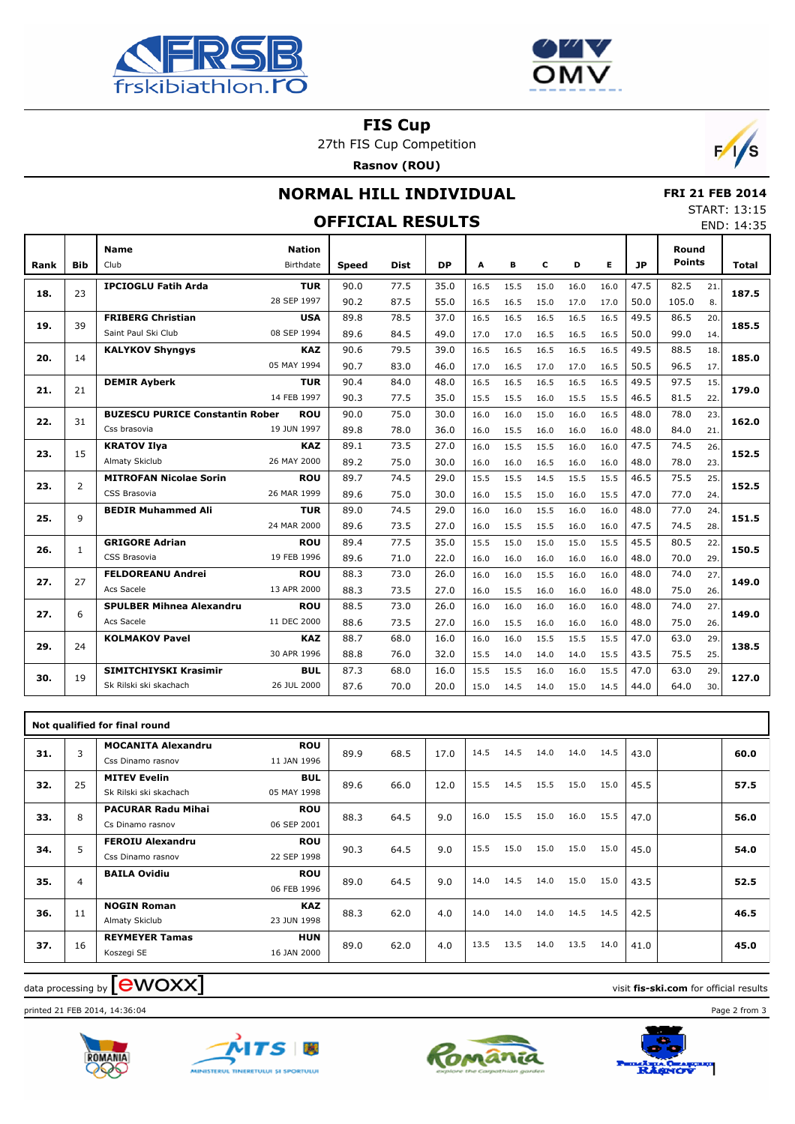



**FIS Cup**

27th FIS Cup Competition

**Rasnov (ROU)**



### **NORMAL HILL INDIVIDUAL**

 **FRI 21 FEB 2014** START: 13:15 END: 14:35

|      | JIANI . 1J.1J<br><b>OFFICIAL RESULTS</b><br>END: 14:35 |                                        |                            |              |             |           |      |      |      |      |      |      |                        |              |       |  |  |
|------|--------------------------------------------------------|----------------------------------------|----------------------------|--------------|-------------|-----------|------|------|------|------|------|------|------------------------|--------------|-------|--|--|
| Rank | <b>Bib</b>                                             | <b>Name</b><br>Club                    | <b>Nation</b><br>Birthdate | <b>Speed</b> | <b>Dist</b> | <b>DP</b> | A    | В    | c    | D    | Е    | 1P   | Round<br><b>Points</b> |              | Total |  |  |
| 18.  | 23                                                     | <b>IPCIOGLU Fatih Arda</b>             | <b>TUR</b>                 | 90.0         | 77.5        | 35.0      | 16.5 | 15.5 | 15.0 | 16.0 | 16.0 | 47.5 | 82.5                   | 21.          | 187.5 |  |  |
|      |                                                        |                                        | 28 SEP 1997                | 90.2         | 87.5        | 55.0      | 16.5 | 16.5 | 15.0 | 17.0 | 17.0 | 50.0 | 105.0                  | 8.           |       |  |  |
| 19.  | 39                                                     | <b>FRIBERG Christian</b>               | <b>USA</b>                 | 89.8         | 78.5        | 37.0      | 16.5 | 16.5 | 16.5 | 16.5 | 16.5 | 49.5 | 86.5                   | 20.          | 185.5 |  |  |
|      |                                                        | Saint Paul Ski Club                    | 08 SEP 1994                | 89.6         | 84.5        | 49.0      | 17.0 | 17.0 | 16.5 | 16.5 | 16.5 | 50.0 | 99.0                   | 14.          |       |  |  |
| 20.  | 14                                                     | <b>KALYKOV Shyngys</b>                 | <b>KAZ</b>                 | 90.6         | 79.5        | 39.0      | 16.5 | 16.5 | 16.5 | 16.5 | 16.5 | 49.5 | 88.5                   | 18.          | 185.0 |  |  |
|      |                                                        | 05 MAY 1994                            |                            | 90.7         | 83.0        | 46.0      | 17.0 | 16.5 | 17.0 | 17.0 | 16.5 | 50.5 | 96.5                   | 17.          |       |  |  |
| 21.  | 21                                                     | <b>DEMIR Ayberk</b>                    | <b>TUR</b>                 | 90.4         | 84.0        | 48.0      | 16.5 | 16.5 | 16.5 | 16.5 | 16.5 | 49.5 | 97.5                   | 15.          | 179.0 |  |  |
|      |                                                        |                                        | 14 FEB 1997                | 90.3         | 77.5        | 35.0      | 15.5 | 15.5 | 16.0 | 15.5 | 15.5 | 46.5 | 81.5                   | 22.          |       |  |  |
| 22.  | 31                                                     | <b>BUZESCU PURICE Constantin Rober</b> | <b>ROU</b>                 | 90.0         | 75.0        | 30.0      | 16.0 | 16.0 | 15.0 | 16.0 | 16.5 | 48.0 | 78.0                   | 23           | 162.0 |  |  |
|      |                                                        | Css brasovia                           | 19 JUN 1997                | 89.8         | 78.0        | 36.0      | 16.0 | 15.5 | 16.0 | 16.0 | 16.0 | 48.0 | 84.0                   | 21.          |       |  |  |
| 23.  | 15                                                     | <b>KRATOV Ilya</b>                     | <b>KAZ</b>                 | 89.1         | 73.5        | 27.0      | 16.0 | 15.5 | 15.5 | 16.0 | 16.0 | 47.5 | 74.5                   | 26.<br>152.5 |       |  |  |
|      |                                                        | Almaty Skiclub<br>26 MAY 2000          |                            | 89.2         | 75.0        | 30.0      | 16.0 | 16.0 | 16.5 | 16.0 | 16.0 | 48.0 | 78.0                   | 23.          |       |  |  |
| 23.  | $\overline{2}$                                         | <b>MITROFAN Nicolae Sorin</b>          | <b>ROU</b>                 | 89.7         | 74.5        | 29.0      | 15.5 | 15.5 | 14.5 | 15.5 | 15.5 | 46.5 | 75.5                   | 25.          | 152.5 |  |  |
|      |                                                        | CSS Brasovia<br>26 MAR 1999            |                            | 89.6         | 75.0        | 30.0      | 16.0 | 15.5 | 15.0 | 16.0 | 15.5 | 47.0 | 77.0                   | 24.          |       |  |  |
| 25.  | 9                                                      | <b>BEDIR Muhammed Ali</b>              | <b>TUR</b>                 | 89.0         | 74.5        | 29.0      | 16.0 | 16.0 | 15.5 | 16.0 | 16.0 | 48.0 | 77.0                   | 24.          | 151.5 |  |  |
|      |                                                        | 24 MAR 2000                            |                            | 89.6         | 73.5        | 27.0      | 16.0 | 15.5 | 15.5 | 16.0 | 16.0 | 47.5 | 74.5                   | 28.          |       |  |  |
| 26.  | $\mathbf{1}$                                           | <b>GRIGORE Adrian</b>                  | <b>ROU</b>                 | 89.4         | 77.5        | 35.0      | 15.5 | 15.0 | 15.0 | 15.0 | 15.5 | 45.5 | 80.5                   | 22           | 150.5 |  |  |
|      |                                                        | CSS Brasovia                           | 19 FEB 1996                | 89.6         | 71.0        | 22.0      | 16.0 | 16.0 | 16.0 | 16.0 | 16.0 | 48.0 | 70.0                   | 29.          |       |  |  |
| 27.  | 27                                                     | <b>FELDOREANU Andrei</b>               | <b>ROU</b>                 | 88.3         | 73.0        | 26.0      | 16.0 | 16.0 | 15.5 | 16.0 | 16.0 | 48.0 | 74.0                   | 27.          | 149.0 |  |  |
|      |                                                        | Acs Sacele<br>13 APR 2000              |                            | 88.3         | 73.5        | 27.0      | 16.0 | 15.5 | 16.0 | 16.0 | 16.0 | 48.0 | 75.0                   | 26.          |       |  |  |
| 27.  | 6                                                      | <b>SPULBER Mihnea Alexandru</b>        | <b>ROU</b>                 | 88.5         | 73.0        | 26.0      | 16.0 | 16.0 | 16.0 | 16.0 | 16.0 | 48.0 | 74.0                   | 27.          | 149.0 |  |  |
|      |                                                        | Acs Sacele<br>11 DEC 2000              |                            | 88.6         | 73.5        | 27.0      | 16.0 | 15.5 | 16.0 | 16.0 | 16.0 | 48.0 | 75.0                   | 26.          |       |  |  |
| 29.  | 24                                                     | <b>KOLMAKOV Pavel</b>                  | <b>KAZ</b>                 | 88.7         | 68.0        | 16.0      | 16.0 | 16.0 | 15.5 | 15.5 | 15.5 | 47.0 | 63.0                   | 29           | 138.5 |  |  |
|      |                                                        |                                        | 30 APR 1996                | 88.8         | 76.0        | 32.0      | 15.5 | 14.0 | 14.0 | 14.0 | 15.5 | 43.5 | 75.5                   | 25.          |       |  |  |
| 30.  | 19                                                     | SIMITCHIYSKI Krasimir                  | <b>BUL</b>                 | 87.3         | 68.0        | 16.0      | 15.5 | 15.5 | 16.0 | 16.0 | 15.5 | 47.0 | 63.0                   | 29           | 127.0 |  |  |
|      |                                                        | Sk Rilski ski skachach                 | 26 JUL 2000                | 87.6         | 70.0        | 20.0      | 15.0 | 14.5 | 14.0 | 15.0 | 14.5 | 44.0 | 64.0                   | 30.          |       |  |  |

|     | Not qualified for final round |                                                |                           |      |      |      |      |      |      |      |      |      |  |      |
|-----|-------------------------------|------------------------------------------------|---------------------------|------|------|------|------|------|------|------|------|------|--|------|
| 31. | 3                             | <b>MOCANITA Alexandru</b><br>Css Dinamo rasnov | <b>ROU</b><br>11 JAN 1996 | 89.9 | 68.5 | 17.0 | 14.5 | 14.5 | 14.0 | 14.0 | 14.5 | 43.0 |  | 60.0 |
| 32. | 25                            | <b>MITEV Evelin</b><br>Sk Rilski ski skachach  | <b>BUL</b><br>05 MAY 1998 | 89.6 | 66.0 | 12.0 | 15.5 | 14.5 | 15.5 | 15.0 | 15.0 | 45.5 |  | 57.5 |
| 33. | 8                             | <b>PACURAR Radu Mihai</b><br>Cs Dinamo rasnov  | <b>ROU</b><br>06 SEP 2001 | 88.3 | 64.5 | 9.0  | 16.0 | 15.5 | 15.0 | 16.0 | 15.5 | 47.0 |  | 56.0 |
| 34. | 5                             | <b>FEROIU Alexandru</b><br>Css Dinamo rasnov   | <b>ROU</b><br>22 SEP 1998 | 90.3 | 64.5 | 9.0  | 15.5 | 15.0 | 15.0 | 15.0 | 15.0 | 45.0 |  | 54.0 |
| 35. | 4                             | <b>BAILA Ovidiu</b>                            | <b>ROU</b><br>06 FEB 1996 | 89.0 | 64.5 | 9.0  | 14.0 | 14.5 | 14.0 | 15.0 | 15.0 | 43.5 |  | 52.5 |
| 36. | 11                            | <b>NOGIN Roman</b><br>Almaty Skiclub           | <b>KAZ</b><br>23 JUN 1998 | 88.3 | 62.0 | 4.0  | 14.0 | 14.0 | 14.0 | 14.5 | 14.5 | 42.5 |  | 46.5 |
| 37. | 16                            | <b>REYMEYER Tamas</b><br>Koszegi SE            | <b>HUN</b><br>16 JAN 2000 | 89.0 | 62.0 | 4.0  | 13.5 | 13.5 | 14.0 | 13.5 | 14.0 | 41.0 |  | 45.0 |

#### $\alpha$  data processing by  $\boxed{\text{ewOX}}$

printed 21 FEB 2014, 14:36:04 Page 2 from 3